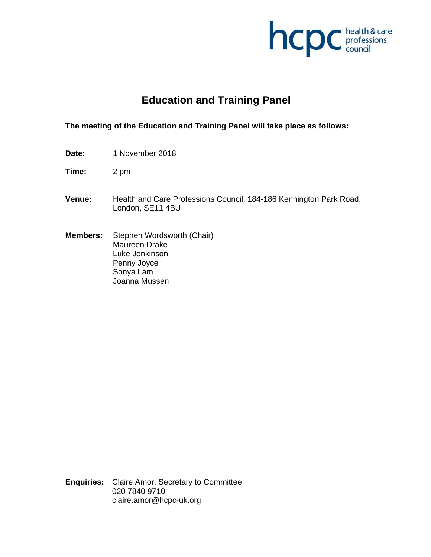

# **Education and Training Panel**

#### **The meeting of the Education and Training Panel will take place as follows:**

**Date:** 1 November 2018

**Time:** 2 pm

- **Venue:** Health and Care Professions Council, 184-186 Kennington Park Road, London, SE11 4BU
- **Members:** Stephen Wordsworth (Chair) Maureen Drake Luke Jenkinson Penny Joyce Sonya Lam Joanna Mussen

**Enquiries:** Claire Amor, Secretary to Committee 020 7840 9710 claire.amor@hcpc-uk.org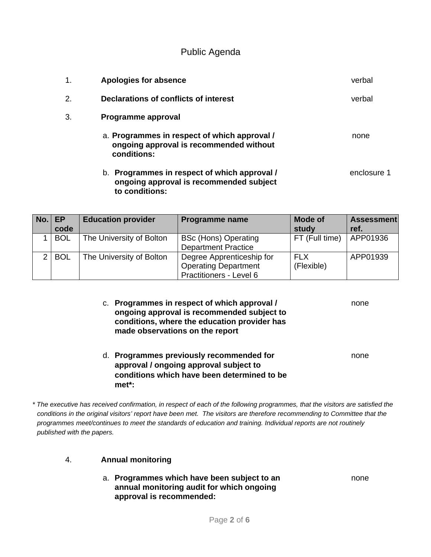Public Agenda

| 1.               | Apologies for absence                                                                                     | verbal      |
|------------------|-----------------------------------------------------------------------------------------------------------|-------------|
| $\overline{2}$ . | Declarations of conflicts of interest                                                                     | verbal      |
| 3.               | Programme approval                                                                                        |             |
|                  | a. Programmes in respect of which approval /<br>ongoing approval is recommended without<br>conditions:    | none        |
|                  | b. Programmes in respect of which approval /<br>ongoing approval is recommended subject<br>to conditions: | enclosure 1 |

| No. | EP.<br>code | <b>Education provider</b> | <b>Programme name</b>                                                               | <b>Mode of</b><br>study | <b>Assessment</b><br>ref. |
|-----|-------------|---------------------------|-------------------------------------------------------------------------------------|-------------------------|---------------------------|
|     | <b>BOL</b>  | The University of Bolton  | <b>BSc (Hons) Operating</b><br><b>Department Practice</b>                           | FT (Full time)          | APP01936                  |
| ⌒   | <b>BOL</b>  | The University of Bolton  | Degree Apprenticeship for<br><b>Operating Department</b><br>Practitioners - Level 6 | FI X<br>(Flexible)      | APP01939                  |

| c. Programmes in respect of which approval /<br>ongoing approval is recommended subject to<br>conditions, where the education provider has<br>made observations on the report | none |
|-------------------------------------------------------------------------------------------------------------------------------------------------------------------------------|------|
| Programmes previously recommended for                                                                                                                                         | none |

### d. **Programmes previously recommended for** none **approval / ongoing approval subject to conditions which have been determined to be met\*:**

*\* The executive has received confirmation, in respect of each of the following programmes, that the visitors are satisfied the conditions in the original visitors' report have been met. The visitors are therefore recommending to Committee that the programmes meet/continues to meet the standards of education and training. Individual reports are not routinely published with the papers.* 

#### 4. **Annual monitoring**

a. **Programmes which have been subject to an** none **annual monitoring audit for which ongoing approval is recommended:**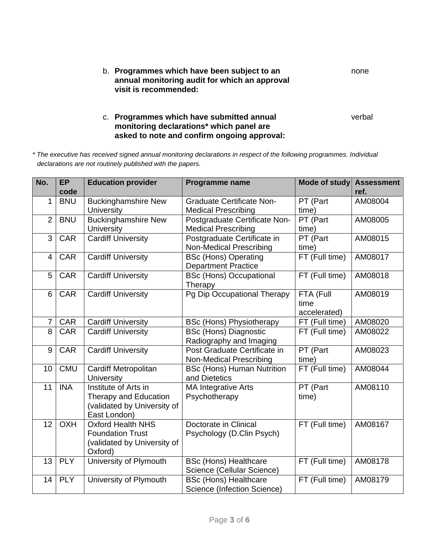| b. Programmes which have been subject to an   | none |
|-----------------------------------------------|------|
| annual monitoring audit for which an approval |      |
| visit is recommended:                         |      |

#### c. **Programmes which have submitted annual** verbal **monitoring declarations\* which panel are asked to note and confirm ongoing approval:**

*\* The executive has received signed annual monitoring declarations in respect of the following programmes. Individual declarations are not routinely published with the papers.* 

| No.            | <b>EP</b><br>code | <b>Education provider</b>                                                                           | <b>Programme name</b>                                          | <b>Mode of study</b>              | <b>Assessment</b><br>ref. |
|----------------|-------------------|-----------------------------------------------------------------------------------------------------|----------------------------------------------------------------|-----------------------------------|---------------------------|
| 1              | <b>BNU</b>        | <b>Buckinghamshire New</b><br>University                                                            | <b>Graduate Certificate Non-</b><br><b>Medical Prescribing</b> | PT (Part<br>time)                 | AM08004                   |
| $\overline{2}$ | <b>BNU</b>        | <b>Buckinghamshire New</b><br>University                                                            | Postgraduate Certificate Non-<br><b>Medical Prescribing</b>    | PT (Part<br>time)                 | AM08005                   |
| 3              | <b>CAR</b>        | <b>Cardiff University</b>                                                                           | Postgraduate Certificate in<br><b>Non-Medical Prescribing</b>  | PT (Part<br>time)                 | AM08015                   |
| 4              | <b>CAR</b>        | <b>Cardiff University</b>                                                                           | <b>BSc (Hons) Operating</b><br><b>Department Practice</b>      | FT (Full time)                    | AM08017                   |
| 5              | <b>CAR</b>        | <b>Cardiff University</b>                                                                           | <b>BSc (Hons) Occupational</b><br>Therapy                      | FT (Full time)                    | AM08018                   |
| 6              | <b>CAR</b>        | <b>Cardiff University</b>                                                                           | Pg Dip Occupational Therapy                                    | FTA (Full<br>time<br>accelerated) | AM08019                   |
| $\overline{7}$ | <b>CAR</b>        | <b>Cardiff University</b>                                                                           | <b>BSc (Hons) Physiotherapy</b>                                | FT (Full time)                    | AM08020                   |
| 8              | <b>CAR</b>        | <b>Cardiff University</b>                                                                           | <b>BSc (Hons) Diagnostic</b><br>Radiography and Imaging        | FT (Full time)                    | AM08022                   |
| 9              | <b>CAR</b>        | <b>Cardiff University</b>                                                                           | Post Graduate Certificate in<br><b>Non-Medical Prescribing</b> | PT (Part<br>time)                 | AM08023                   |
| 10             | <b>CMU</b>        | Cardiff Metropolitan<br><b>University</b>                                                           | <b>BSc (Hons) Human Nutrition</b><br>and Dietetics             | FT (Full time)                    | AM08044                   |
| 11             | <b>INA</b>        | Institute of Arts in<br><b>Therapy and Education</b><br>(validated by University of<br>East London) | <b>MA Integrative Arts</b><br>Psychotherapy                    | PT (Part<br>time)                 | AM08110                   |
| 12             | <b>OXH</b>        | <b>Oxford Health NHS</b><br><b>Foundation Trust</b><br>(validated by University of<br>Oxford)       | Doctorate in Clinical<br>Psychology (D.Clin Psych)             | FT (Full time)                    | AM08167                   |
| 13             | <b>PLY</b>        | University of Plymouth                                                                              | <b>BSc (Hons) Healthcare</b><br>Science (Cellular Science)     | FT (Full time)                    | AM08178                   |
| 14             | <b>PLY</b>        | University of Plymouth                                                                              | <b>BSc (Hons) Healthcare</b><br>Science (Infection Science)    | FT (Full time)                    | AM08179                   |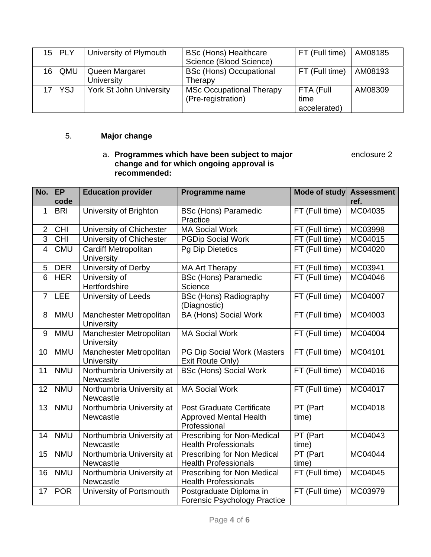| $15$   PLY | University of Plymouth              | <b>BSc (Hons) Healthcare</b><br>Science (Blood Science) | FT (Full time) $ AM08185$         |         |
|------------|-------------------------------------|---------------------------------------------------------|-----------------------------------|---------|
| $16$ QMU   | Queen Margaret<br><b>University</b> | <b>BSc (Hons) Occupational</b><br>Therapy               | FT (Full time)                    | AM08193 |
| $17$ YSJ   | <b>York St John University</b>      | <b>MSc Occupational Therapy</b><br>(Pre-registration)   | FTA (Full<br>time<br>accelerated) | AM08309 |

## 5. **Major change**

#### a. **Programmes which have been subject to major** enclosure 2 **change and for which ongoing approval is recommended:**

| No.            | <b>EP</b><br>code | <b>Education provider</b>                        | <b>Programme name</b>                                                             | Mode of study Assessment | ref.    |
|----------------|-------------------|--------------------------------------------------|-----------------------------------------------------------------------------------|--------------------------|---------|
| 1              | <b>BRI</b>        | University of Brighton                           | <b>BSc (Hons) Paramedic</b><br>Practice                                           | FT (Full time)           | MC04035 |
| $\overline{2}$ | <b>CHI</b>        | University of Chichester                         | <b>MA Social Work</b>                                                             | FT (Full time)           | MC03998 |
| $\overline{3}$ | <b>CHI</b>        | University of Chichester                         | <b>PGDip Social Work</b>                                                          | FT (Full time)           | MC04015 |
| $\overline{4}$ | <b>CMU</b>        | <b>Cardiff Metropolitan</b><br><b>University</b> | <b>Pg Dip Dietetics</b>                                                           | FT (Full time)           | MC04020 |
| 5              | <b>DER</b>        | University of Derby                              | <b>MA Art Therapy</b>                                                             | FT (Full time)           | MC03941 |
| 6              | <b>HER</b>        | University of<br>Hertfordshire                   | <b>BSc (Hons) Paramedic</b><br>Science                                            | FT (Full time)           | MC04046 |
| $\overline{7}$ | <b>LEE</b>        | University of Leeds                              | <b>BSc (Hons) Radiography</b><br>(Diagnostic)                                     | FT (Full time)           | MC04007 |
| 8              | <b>MMU</b>        | Manchester Metropolitan<br><b>University</b>     | <b>BA (Hons) Social Work</b>                                                      | FT (Full time)           | MC04003 |
| 9              | <b>MMU</b>        | Manchester Metropolitan<br><b>University</b>     | <b>MA Social Work</b>                                                             | FT (Full time)           | MC04004 |
| 10             | <b>MMU</b>        | Manchester Metropolitan<br><b>University</b>     | PG Dip Social Work (Masters<br>Exit Route Only)                                   | FT (Full time)           | MC04101 |
| 11             | <b>NMU</b>        | Northumbria University at<br>Newcastle           | <b>BSc (Hons) Social Work</b>                                                     | FT (Full time)           | MC04016 |
| 12             | <b>NMU</b>        | Northumbria University at<br>Newcastle           | <b>MA Social Work</b>                                                             | FT (Full time)           | MC04017 |
| 13             | <b>NMU</b>        | Northumbria University at<br>Newcastle           | <b>Post Graduate Certificate</b><br><b>Approved Mental Health</b><br>Professional | PT (Part<br>time)        | MC04018 |
| 14             | <b>NMU</b>        | Northumbria University at<br>Newcastle           | Prescribing for Non-Medical<br><b>Health Professionals</b>                        | PT (Part<br>time)        | MC04043 |
| 15             | <b>NMU</b>        | Northumbria University at<br>Newcastle           | Prescribing for Non Medical<br><b>Health Professionals</b>                        | PT (Part<br>time)        | MC04044 |
| 16             | <b>NMU</b>        | Northumbria University at<br>Newcastle           | Prescribing for Non Medical<br><b>Health Professionals</b>                        | FT (Full time)           | MC04045 |
| 17             | <b>POR</b>        | University of Portsmouth                         | Postgraduate Diploma in<br><b>Forensic Psychology Practice</b>                    | FT (Full time)           | MC03979 |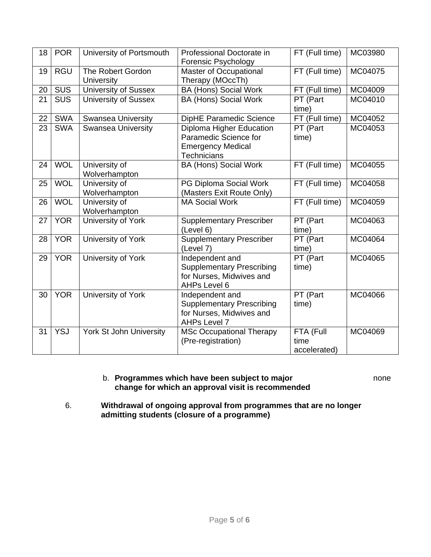| 18 | <b>POR</b> | University of Portsmouth               | Professional Doctorate in<br><b>Forensic Psychology</b>                                                    | FT (Full time)                    | MC03980 |
|----|------------|----------------------------------------|------------------------------------------------------------------------------------------------------------|-----------------------------------|---------|
| 19 | <b>RGU</b> | The Robert Gordon<br><b>University</b> | Master of Occupational<br>Therapy (MOccTh)                                                                 | FT (Full time)                    | MC04075 |
| 20 | <b>SUS</b> | <b>University of Sussex</b>            | <b>BA (Hons) Social Work</b>                                                                               | FT (Full time)                    | MC04009 |
| 21 | <b>SUS</b> | <b>University of Sussex</b>            | <b>BA (Hons) Social Work</b>                                                                               | PT (Part<br>time)                 | MC04010 |
| 22 | <b>SWA</b> | <b>Swansea University</b>              | DipHE Paramedic Science                                                                                    | FT (Full time)                    | MC04052 |
| 23 | <b>SWA</b> | <b>Swansea University</b>              | <b>Diploma Higher Education</b><br>Paramedic Science for<br><b>Emergency Medical</b><br><b>Technicians</b> | PT (Part<br>time)                 | MC04053 |
| 24 | <b>WOL</b> | University of<br>Wolverhampton         | <b>BA (Hons) Social Work</b>                                                                               | FT (Full time)                    | MC04055 |
| 25 | <b>WOL</b> | University of<br>Wolverhampton         | PG Diploma Social Work<br>(Masters Exit Route Only)                                                        | FT (Full time)                    | MC04058 |
| 26 | <b>WOL</b> | University of<br>Wolverhampton         | <b>MA Social Work</b>                                                                                      | FT (Full time)                    | MC04059 |
| 27 | <b>YOR</b> | University of York                     | <b>Supplementary Prescriber</b><br>(Level 6)                                                               | PT (Part<br>time)                 | MC04063 |
| 28 | <b>YOR</b> | University of York                     | <b>Supplementary Prescriber</b><br>(Level 7)                                                               | PT (Part<br>time)                 | MC04064 |
| 29 | <b>YOR</b> | University of York                     | Independent and<br><b>Supplementary Prescribing</b><br>for Nurses, Midwives and<br><b>AHPs Level 6</b>     | PT (Part<br>time)                 | MC04065 |
| 30 | <b>YOR</b> | University of York                     | Independent and<br><b>Supplementary Prescribing</b><br>for Nurses, Midwives and<br>AHPs Level 7            | PT (Part<br>time)                 | MC04066 |
| 31 | <b>YSJ</b> | York St John University                | <b>MSc Occupational Therapy</b><br>(Pre-registration)                                                      | FTA (Full<br>time<br>accelerated) | MC04069 |

#### b. **Programmes which have been subject to major** none **change for which an approval visit is recommended**

6. **Withdrawal of ongoing approval from programmes that are no longer admitting students (closure of a programme)**